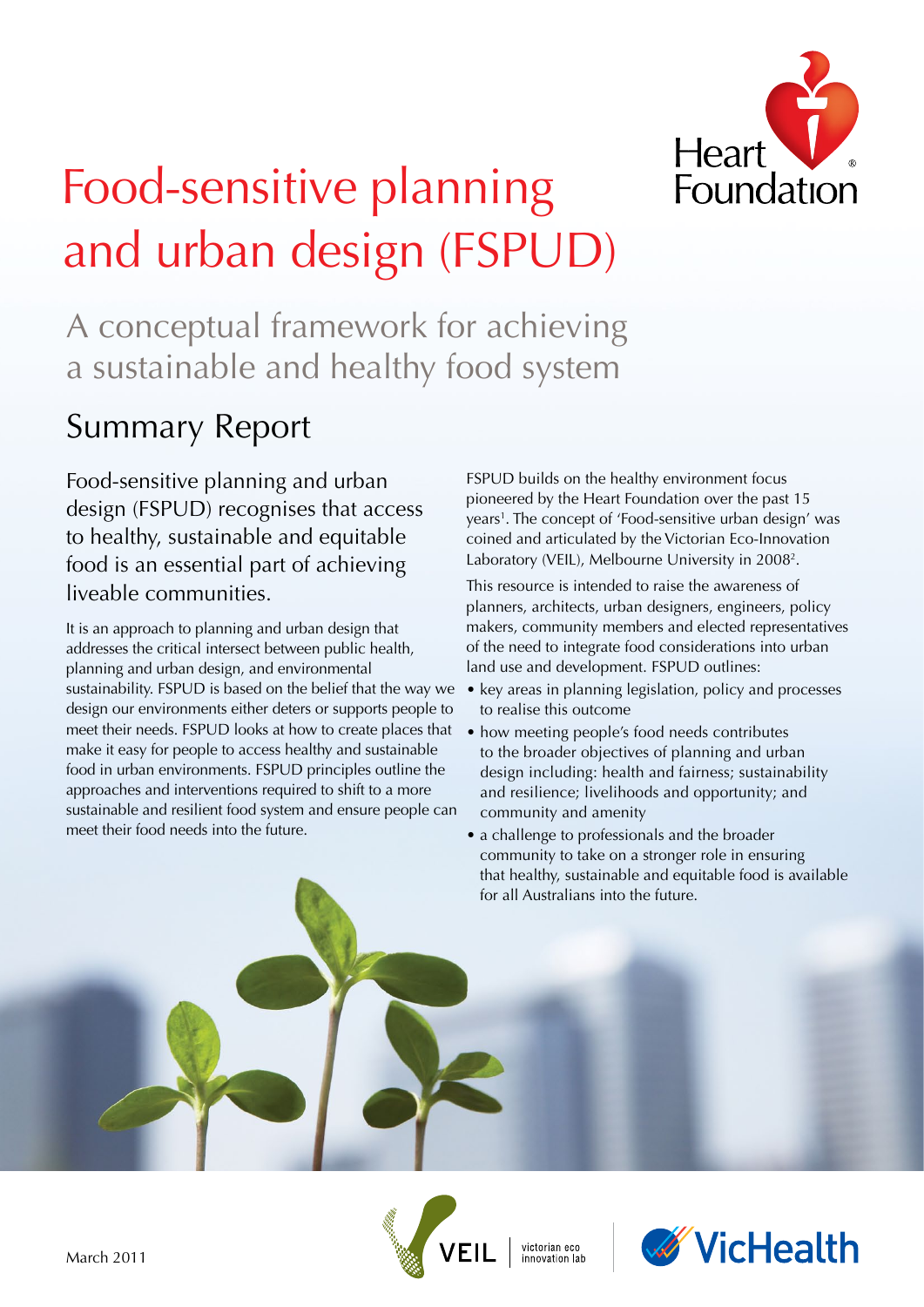

# Food-sensitive planning and urban design (FSPUD)

A conceptual framework for achieving a sustainable and healthy food system

## Summary Report

Food-sensitive planning and urban design (FSPUD) recognises that access to healthy, sustainable and equitable food is an essential part of achieving liveable communities.

It is an approach to planning and urban design that addresses the critical intersect between public health, planning and urban design, and environmental sustainability. FSPUD is based on the belief that the way we design our environments either deters or supports people to meet their needs. FSPUD looks at how to create places that make it easy for people to access healthy and sustainable food in urban environments. FSPUD principles outline the approaches and interventions required to shift to a more sustainable and resilient food system and ensure people can meet their food needs into the future.

FSPUD builds on the healthy environment focus pioneered by the Heart Foundation over the past 15 years<sup>1</sup>. The concept of 'Food-sensitive urban design' was coined and articulated by the Victorian Eco-Innovation Laboratory (VEIL), Melbourne University in 2008<sup>2</sup>.

This resource is intended to raise the awareness of planners, architects, urban designers, engineers, policy makers, community members and elected representatives of the need to integrate food considerations into urban land use and development. FSPUD outlines:

- key areas in planning legislation, policy and processes to realise this outcome
- how meeting people's food needs contributes to the broader objectives of planning and urban design including: health and fairness; sustainability and resilience; livelihoods and opportunity; and community and amenity
- a challenge to professionals and the broader community to take on a stronger role in ensuring that healthy, sustainable and equitable food is available for all Australians into the future.



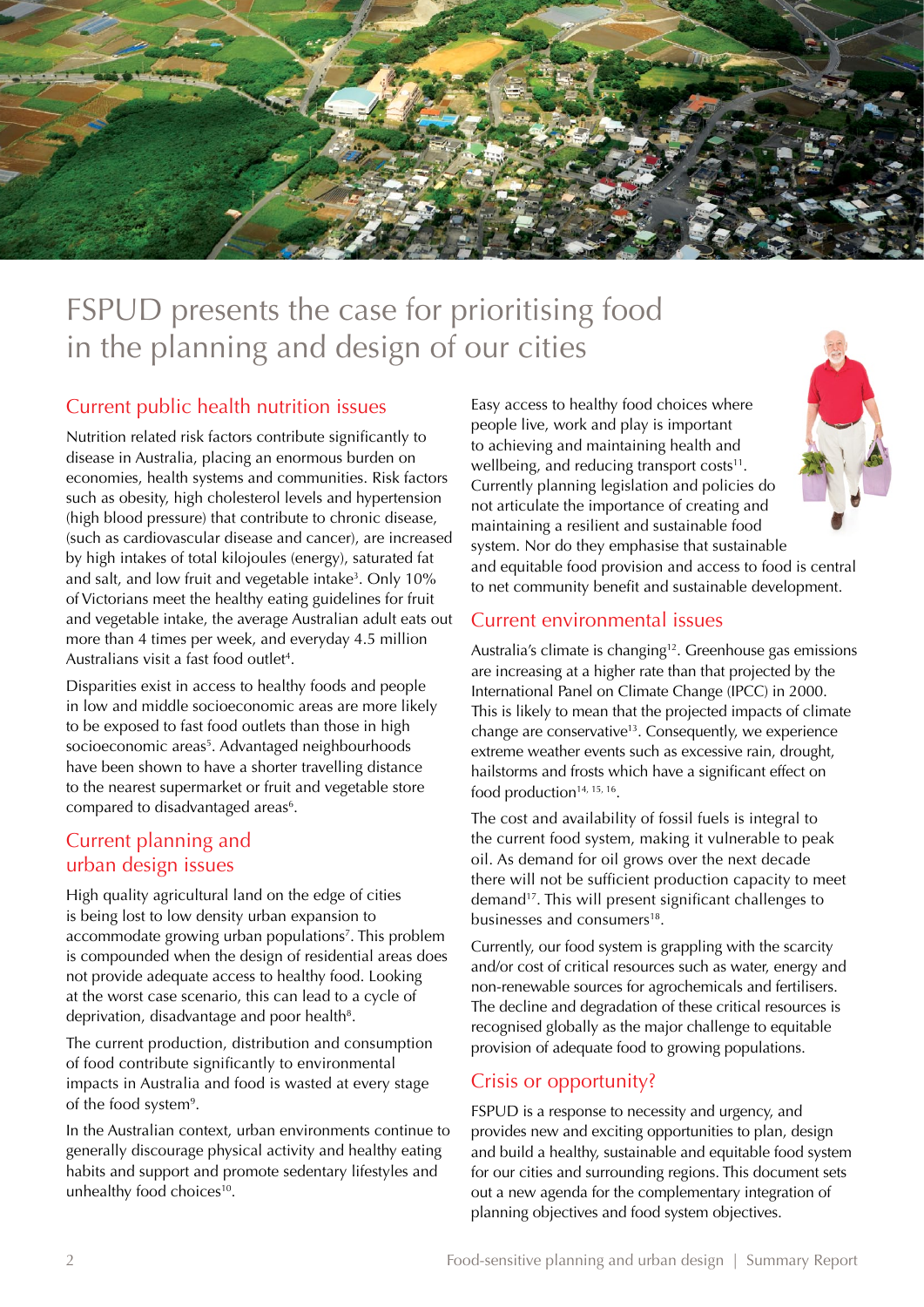

### FSPUD presents the case for prioritising food in the planning and design of our cities

#### Current public health nutrition issues

Nutrition related risk factors contribute significantly to disease in Australia, placing an enormous burden on economies, health systems and communities. Risk factors such as obesity, high cholesterol levels and hypertension (high blood pressure) that contribute to chronic disease, (such as cardiovascular disease and cancer), are increased by high intakes of total kilojoules (energy), saturated fat and salt, and low fruit and vegetable intake<sup>3</sup>. Only 10% of Victorians meet the healthy eating guidelines for fruit and vegetable intake, the average Australian adult eats out more than 4 times per week, and everyday 4.5 million Australians visit a fast food outlet<sup>4</sup>.

Disparities exist in access to healthy foods and people in low and middle socioeconomic areas are more likely to be exposed to fast food outlets than those in high socioeconomic areas<sup>5</sup>. Advantaged neighbourhoods have been shown to have a shorter travelling distance to the nearest supermarket or fruit and vegetable store compared to disadvantaged areas<sup>6</sup>.

#### Current planning and urban design issues

High quality agricultural land on the edge of cities is being lost to low density urban expansion to accommodate growing urban populations<sup>7</sup>. This problem is compounded when the design of residential areas does not provide adequate access to healthy food. Looking at the worst case scenario, this can lead to a cycle of deprivation, disadvantage and poor health<sup>8</sup>.

The current production, distribution and consumption of food contribute significantly to environmental impacts in Australia and food is wasted at every stage of the food system<sup>9</sup>.

In the Australian context, urban environments continue to generally discourage physical activity and healthy eating habits and support and promote sedentary lifestyles and unhealthy food choices<sup>10</sup>.

Easy access to healthy food choices where people live, work and play is important to achieving and maintaining health and wellbeing, and reducing transport  $costs<sup>11</sup>$ . Currently planning legislation and policies do not articulate the importance of creating and maintaining a resilient and sustainable food system. Nor do they emphasise that sustainable and equitable food provision and access to food is central to net community benefit and sustainable development.

#### Current environmental issues

Australia's climate is changing<sup>12</sup>. Greenhouse gas emissions are increasing at a higher rate than that projected by the International Panel on Climate Change (IPCC) in 2000. This is likely to mean that the projected impacts of climate change are conservative<sup>13</sup>. Consequently, we experience extreme weather events such as excessive rain, drought, hailstorms and frosts which have a significant effect on food production<sup>14, 15, 16</sup>.

The cost and availability of fossil fuels is integral to the current food system, making it vulnerable to peak oil. As demand for oil grows over the next decade there will not be sufficient production capacity to meet demand17. This will present significant challenges to businesses and consumers<sup>18</sup>.

Currently, our food system is grappling with the scarcity and/or cost of critical resources such as water, energy and non-renewable sources for agrochemicals and fertilisers. The decline and degradation of these critical resources is recognised globally as the major challenge to equitable provision of adequate food to growing populations.

#### Crisis or opportunity?

FSPUD is a response to necessity and urgency, and provides new and exciting opportunities to plan, design and build a healthy, sustainable and equitable food system for our cities and surrounding regions. This document sets out a new agenda for the complementary integration of planning objectives and food system objectives.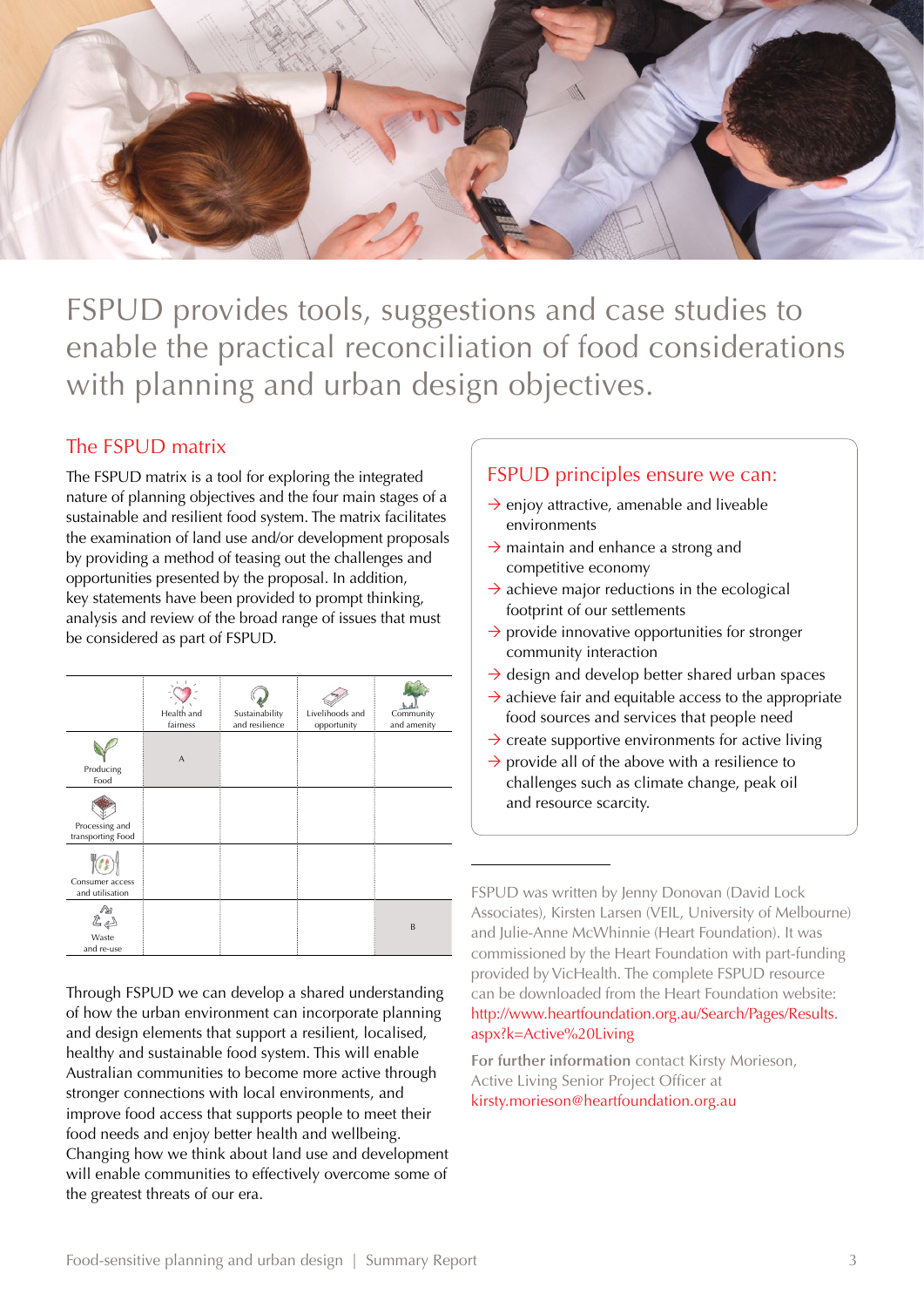

FSPUD provides tools, suggestions and case studies to enable the practical reconciliation of food considerations with planning and urban design objectives.

#### The FSPUD matrix

The FSPUD matrix is a tool for exploring the integrated nature of planning objectives and the four main stages of a sustainable and resilient food system. The matrix facilitates the examination of land use and/or development proposals by providing a method of teasing out the challenges and opportunities presented by the proposal. In addition, key statements have been provided to prompt thinking, analysis and review of the broad range of issues that must be considered as part of FSPUD.

|                                     | Health and<br>fairness | Sustainability<br>and resilience | Livelihoods and<br>opportunity | Community<br>and amenity |
|-------------------------------------|------------------------|----------------------------------|--------------------------------|--------------------------|
| Producing<br>Food                   | $\overline{A}$         |                                  |                                |                          |
| Processing and<br>transporting Food |                        |                                  |                                |                          |
| Consumer access<br>and utilisation  |                        |                                  |                                |                          |
| 22<br>Waste<br>and re-use           |                        |                                  |                                | B                        |

Through FSPUD we can develop a shared understanding of how the urban environment can incorporate planning and design elements that support a resilient, localised, healthy and sustainable food system. This will enable Australian communities to become more active through stronger connections with local environments, and improve food access that supports people to meet their food needs and enjoy better health and wellbeing. Changing how we think about land use and development will enable communities to effectively overcome some of the greatest threats of our era.

#### FSPUD principles ensure we can:

- $\rightarrow$  enjoy attractive, amenable and liveable environments
- $\rightarrow$  maintain and enhance a strong and competitive economy
- $\rightarrow$  achieve major reductions in the ecological footprint of our settlements
- $\rightarrow$  provide innovative opportunities for stronger community interaction
- $\rightarrow$  design and develop better shared urban spaces
- $\rightarrow$  achieve fair and equitable access to the appropriate food sources and services that people need
- $\rightarrow$  create supportive environments for active living
- $\rightarrow$  provide all of the above with a resilience to challenges such as climate change, peak oil and resource scarcity.

FSPUD was written by Jenny Donovan (David Lock Associates), Kirsten Larsen (VEIL, University of Melbourne) and Julie-Anne McWhinnie (Heart Foundation). It was commissioned by the Heart Foundation with part-funding provided by VicHealth. The complete FSPUD resource can be downloaded from the Heart Foundation website: http://www.heartfoundation.org.au/Search/Pages/Results. aspx?k=Active%20Living

**For further information** contact Kirsty Morieson, Active Living Senior Project Officer at kirsty.morieson@heartfoundation.org.au